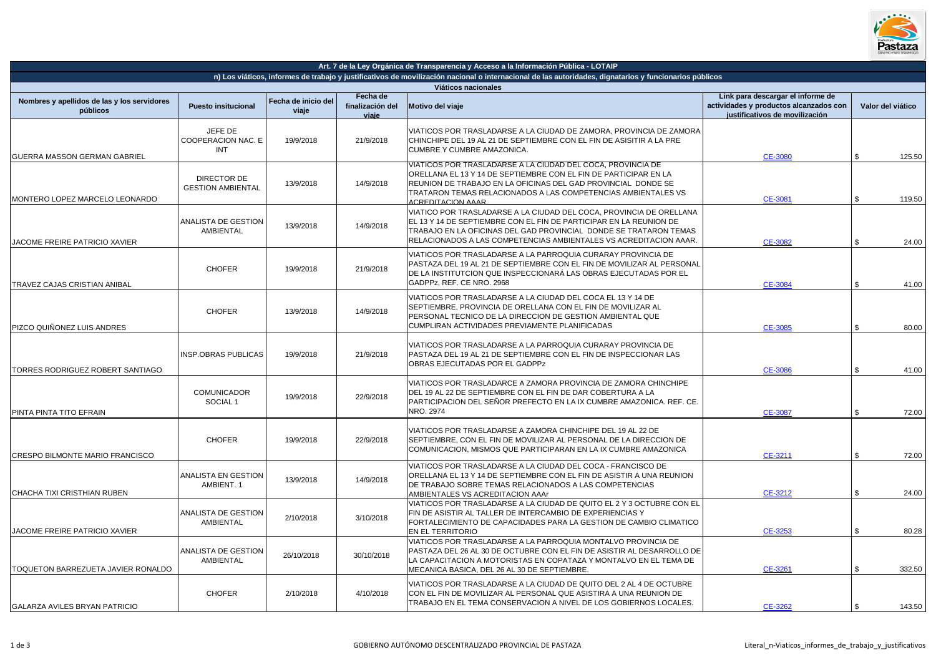

|                                                         |                                             |                              |                                       | Art. 7 de la Ley Orgánica de Transparencia y Acceso a la Información Pública - LOTAIP                                                                                                                                                                                                         |                                                                                                               |                   |
|---------------------------------------------------------|---------------------------------------------|------------------------------|---------------------------------------|-----------------------------------------------------------------------------------------------------------------------------------------------------------------------------------------------------------------------------------------------------------------------------------------------|---------------------------------------------------------------------------------------------------------------|-------------------|
|                                                         |                                             |                              |                                       | n) Los viáticos, informes de trabajo y justificativos de movilización nacional o internacional de las autoridades, dignatarios y funcionarios públicos<br>Viáticos nacionales                                                                                                                 |                                                                                                               |                   |
| Nombres y apellidos de las y los servidores<br>públicos | <b>Puesto insitucional</b>                  | Fecha de inicio del<br>viaje | Fecha de<br>finalización del<br>viaje | Motivo del viaje                                                                                                                                                                                                                                                                              | Link para descargar el informe de<br>actividades y productos alcanzados con<br>justificativos de movilización | Valor del viático |
| GUERRA MASSON GERMAN GABRIEL                            | JEFE DE<br>COOPERACION NAC. E<br><b>INT</b> | 19/9/2018                    | 21/9/2018                             | VIATICOS POR TRASLADARSE A LA CIUDAD DE ZAMORA, PROVINCIA DE ZAMORA<br>CHINCHIPE DEL 19 AL 21 DE SEPTIEMBRE CON EL FIN DE ASISITIR A LA PRE<br>CUMBRE Y CUMBRE AMAZONICA.                                                                                                                     | CE-3080                                                                                                       | 125.50            |
| MONTERO LOPEZ MARCELO LEONARDO                          | DIRECTOR DE<br><b>GESTION AMBIENTAL</b>     | 13/9/2018                    | 14/9/2018                             | VIATICOS POR TRASLADARSE A LA CIUDAD DEL COCA, PROVINCIA DE<br>ORELLANA EL 13 Y 14 DE SEPTIEMBRE CON EL FIN DE PARTICIPAR EN LA<br>REUNION DE TRABAJO EN LA OFICINAS DEL GAD PROVINCIAL DONDE SE<br>TRATARON TEMAS RELACIONADOS A LAS COMPETENCIAS AMBIENTALES VS<br><b>ACREDITACION AAAR</b> | CE-3081                                                                                                       | 119.50            |
| JACOME FREIRE PATRICIO XAVIER                           | ANALISTA DE GESTION<br>AMBIENTAL            | 13/9/2018                    | 14/9/2018                             | VIATICO POR TRASLADARSE A LA CIUDAD DEL COCA, PROVINCIA DE ORELLANA<br>EL 13 Y 14 DE SEPTIEMBRE CON EL FIN DE PARTICIPAR EN LA REUNION DE<br>TRABAJO EN LA OFICINAS DEL GAD PROVINCIAL DONDE SE TRATARON TEMAS<br>RELACIONADOS A LAS COMPETENCIAS AMBIENTALES VS ACREDITACION AAAR            | CE-3082                                                                                                       | 24.00             |
| TRAVEZ CAJAS CRISTIAN ANIBAL                            | <b>CHOFER</b>                               | 19/9/2018                    | 21/9/2018                             | VIATICOS POR TRASLADARSE A LA PARROQUIA CURARAY PROVINCIA DE<br>PASTAZA DEL 19 AL 21 DE SEPTIEMBRE CON EL FIN DE MOVILIZAR AL PERSONAL<br>DE LA INSTITUTCION QUE INSPECCIONARÀ LAS OBRAS EJECUTADAS POR EL<br>GADPPz, REF. CE NRO. 2968                                                       | <b>CE-3084</b>                                                                                                | \$<br>41.00       |
| PIZCO QUIÑONEZ LUIS ANDRES                              | <b>CHOFER</b>                               | 13/9/2018                    | 14/9/2018                             | VIATICOS POR TRASLADARSE A LA CIUDAD DEL COCA EL 13 Y 14 DE<br>SEPTIEMBRE, PROVINCIA DE ORELLANA CON EL FIN DE MOVILIZAR AL<br>PERSONAL TECNICO DE LA DIRECCION DE GESTION AMBIENTAL QUE<br>CUMPLIRAN ACTIVIDADES PREVIAMENTE PLANIFICADAS                                                    | CE-3085                                                                                                       | 80.00             |
| TORRES RODRIGUEZ ROBERT SANTIAGO                        | <b>INSP.OBRAS PUBLICAS</b>                  | 19/9/2018                    | 21/9/2018                             | VIATICOS POR TRASLADARSE A LA PARROQUIA CURARAY PROVINCIA DE<br>PASTAZA DEL 19 AL 21 DE SEPTIEMBRE CON EL FIN DE INSPECCIONAR LAS<br>OBRAS EJECUTADAS POR EL GADPPZ                                                                                                                           | <b>CE-3086</b>                                                                                                | 41.00             |
| PINTA PINTA TITO EFRAIN                                 | <b>COMUNICADOR</b><br>SOCIAL <sub>1</sub>   | 19/9/2018                    | 22/9/2018                             | VIATICOS POR TRASLADARCE A ZAMORA PROVINCIA DE ZAMORA CHINCHIPE<br>DEL 19 AL 22 DE SEPTIEMBRE CON EL FIN DE DAR COBERTURA A LA<br>PARTICIPACION DEL SEÑOR PREFECTO EN LA IX CUMBRE AMAZONICA. REF. CE.<br>NRO. 2974                                                                           | CE-3087                                                                                                       | 72.00             |
| CRESPO BILMONTE MARIO FRANCISCO                         | <b>CHOFER</b>                               | 19/9/2018                    | 22/9/2018                             | VIATICOS POR TRASLADARSE A ZAMORA CHINCHIPE DEL 19 AL 22 DE<br>SEPTIEMBRE, CON EL FIN DE MOVILIZAR AL PERSONAL DE LA DIRECCION DE<br>COMUNICACION, MISMOS QUE PARTICIPARAN EN LA IX CUMBRE AMAZONICA                                                                                          | CE-3211                                                                                                       | 72.00             |
| CHACHA TIXI CRISTHIAN RUBEN                             | ANALISTA EN GESTION<br>AMBIENT. 1           | 13/9/2018                    | 14/9/2018                             | VIATICOS POR TRASLADARSE A LA CIUDAD DEL COCA - FRANCISCO DE<br>ORELLANA EL 13 Y 14 DE SEPTIEMBRE CON EL FIN DE ASISTIR A UNA REUNION<br>DE TRABAJO SOBRE TEMAS RELACIONADOS A LAS COMPETENCIAS<br>AMBIENTALES VS ACREDITACION AAAr                                                           | CE-3212                                                                                                       | 24.00             |
| <b>JACOME FREIRE PATRICIO XAVIER</b>                    | ANALISTA DE GESTION<br>AMBIENTAL            | 2/10/2018                    | 3/10/2018                             | VIATICOS POR TRASLADARSE A LA CIUDAD DE QUITO EL 2 Y 3 OCTUBRE CON EL<br>FIN DE ASISTIR AL TALLER DE INTERCAMBIO DE EXPERIENCIAS Y<br>FORTALECIMIENTO DE CAPACIDADES PARA LA GESTION DE CAMBIO CLIMATICO<br>EN EL TERRITORIO                                                                  | CE-3253                                                                                                       | 80.28             |
| TOQUETON BARREZUETA JAVIER RONALDO                      | ANALISTA DE GESTION<br>AMBIENTAL            | 26/10/2018                   | 30/10/2018                            | VIATICOS POR TRASLADARSE A LA PARROQUIA MONTALVO PROVINCIA DE<br>PASTAZA DEL 26 AL 30 DE OCTUBRE CON EL FIN DE ASISTIR AL DESARROLLO DE<br>LA CAPACITACION A MOTORISTAS EN COPATAZA Y MONTALVO EN EL TEMA DE<br>MECANICA BASICA, DEL 26 AL 30 DE SEPTIEMBRE.                                  | CE-3261                                                                                                       | 332.50            |
| <b>GALARZA AVILES BRYAN PATRICIO</b>                    | <b>CHOFER</b>                               | 2/10/2018                    | 4/10/2018                             | /IATICOS POR TRASLADARSE A LA CIUDAD DE QUITO DEL 2 AL 4 DE OCTUBRE<br>CON EL FIN DE MOVILIZAR AL PERSONAL QUE ASISTIRA A UNA REUNION DE<br>TRABAJO EN EL TEMA CONSERVACION A NIVEL DE LOS GOBIERNOS LOCALES.                                                                                 | CE-3262                                                                                                       | \$<br>143.50      |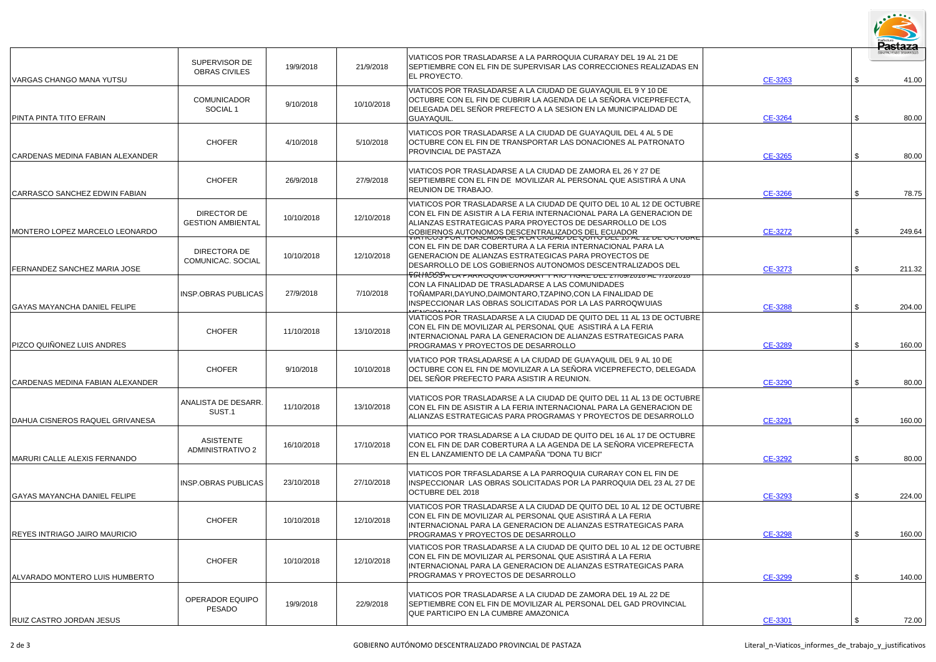